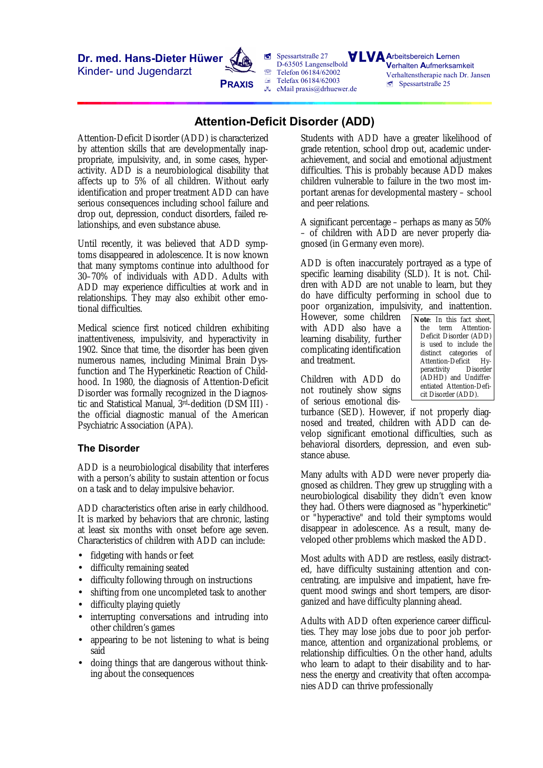**Dr. med. Hans-Dieter Hüwer**

Kinder- und Jugendarzt



**ú** Spessartstraße 27 D-63505 Langenselbold  $\mathbb{R}$  Telefon 06184/62002  $F =$ Telefax 06184/62003  $\sqrt{a}$  eMail praxis@drhuewer.de

**A**rbeitsbereich **L**ernen **V**erhalten **A**ufmerksamkeit Verhaltenstherapie nach Dr. Jansen  $S$ pessartstraße 25

# **Attention-Deficit Disorder (ADD)**

Attention-Deficit Disorder (ADD) is characterized by attention skills that are developmentally inappropriate, impulsivity, and, in some cases, hyperactivity. ADD is a neurobiological disability that affects up to 5% of all children. Without early identification and proper treatment ADD can have serious consequences including school failure and drop out, depression, conduct disorders, failed relationships, and even substance abuse.

Until recently, it was believed that ADD symptoms disappeared in adolescence. It is now known that many symptoms continue into adulthood for 30–70% of individuals with ADD. Adults with ADD may experience difficulties at work and in relationships. They may also exhibit other emotional difficulties.

Medical science first noticed children exhibiting inattentiveness, impulsivity, and hyperactivity in 1902. Since that time, the disorder has been given numerous names, including Minimal Brain Dysfunction and The Hyperkinetic Reaction of Childhood. In 1980, the diagnosis of Attention-Deficit Disorder was formally recognized in the Diagnostic and Statistical Manual, 3rd-dedition (DSM III)  the official diagnostic manual of the American Psychiatric Association (APA).

## **The Disorder**

ADD is a neurobiological disability that interferes with a person's ability to sustain attention or focus on a task and to delay impulsive behavior.

ADD characteristics often arise in early childhood. It is marked by behaviors that are chronic, lasting at least six months with onset before age seven. Characteristics of children with ADD can include:

- fidgeting with hands or feet
- difficulty remaining seated
- difficulty following through on instructions
- shifting from one uncompleted task to another
- difficulty playing quietly
- interrupting conversations and intruding into other children's games
- appearing to be not listening to what is being said
- doing things that are dangerous without thinking about the consequences

Students with ADD have a greater likelihood of grade retention, school drop out, academic underachievement, and social and emotional adjustment difficulties. This is probably because ADD makes children vulnerable to failure in the two most important arenas for developmental mastery – school and peer relations.

A significant percentage – perhaps as many as 50% – of children with ADD are never properly diagnosed (in Germany even more).

ADD is often inaccurately portrayed as a type of specific learning disability (SLD). It is not. Children with ADD are not unable to learn, but they do have difficulty performing in school due to poor organization, impulsivity, and inattention.

However, some children with ADD also have a learning disability, further complicating identification and treatment.

Children with ADD do not routinely show signs of serious emotional dis*Note:* In this fact sheet, the term Attention-Deficit Disorder (ADD) is used to include the distinct categories of Attention-Deficit Hyperactivity Disorder (ADHD) and Undifferentiated Attention-Deficit Disorder (ADD).

turbance (SED). However, if not properly diagnosed and treated, children with ADD can develop significant emotional difficulties, such as behavioral disorders, depression, and even substance abuse.

Many adults with ADD were never properly diagnosed as children. They grew up struggling with a neurobiological disability they didn't even know they had. Others were diagnosed as "hyperkinetic" or "hyperactive" and told their symptoms would disappear in adolescence. As a result, many developed other problems which masked the ADD.

Most adults with ADD are restless, easily distracted, have difficulty sustaining attention and concentrating, are impulsive and impatient, have frequent mood swings and short tempers, are disorganized and have difficulty planning ahead.

Adults with ADD often experience career difficulties. They may lose jobs due to poor job performance, attention and organizational problems, or relationship difficulties. On the other hand, adults who learn to adapt to their disability and to harness the energy and creativity that often accompanies ADD can thrive professionally